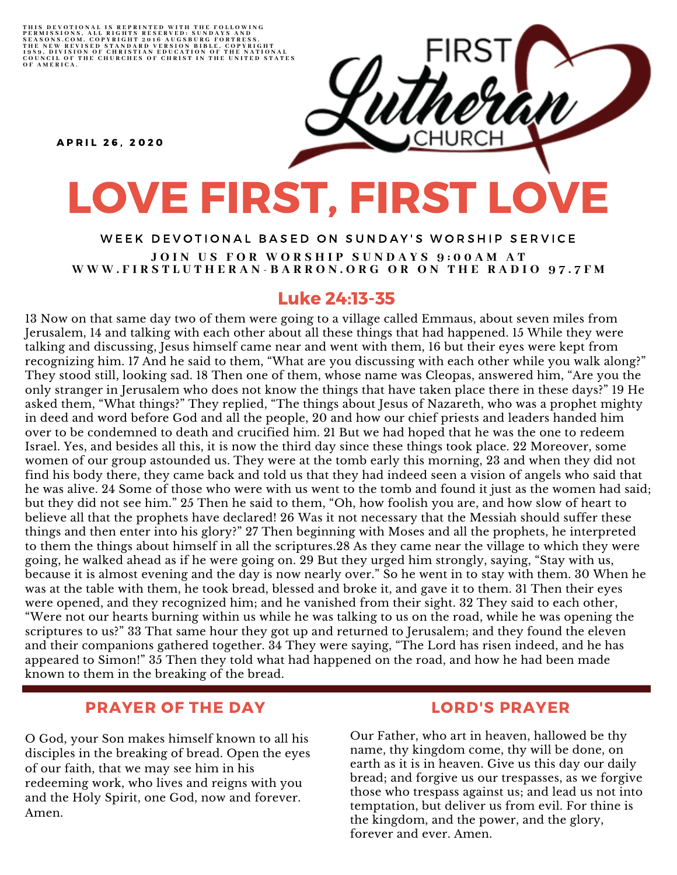THIS DEVOTIONAL IS REPRINTED WITH THE FOLLOWING<br>PERMISSIONS, ALL RIGHTS RESERVED: SUNDAYS AND<br>SEASONS.COM. COPYRIGHT 2016 AUGSBURG FORTRESS.<br>THE NEW REVISED STANDARD VERSION BIBLE, COPYRIGHT<br>1959, DIVISION OF CHRISTIAN EDU

**A P R I L 26. 2020** 

# LOVE FIRST, FIRST LOVE

WEEK DEVOTIONAL BASED ON SUNDAY'S WORSHIP SERVICE JOIN US FOR WORSHIP SUNDAYS 9:00AM AT WWW.FIRSTLUTHERAN-BARRON.ORG OR ON THE RADIO 97.7FM

## Luke 24:13-35

13 Now on that same day two of them were going to a village called Emmaus, about seven miles from Jerusalem, 14 and talking with each other about all these things that had happened. 15 While they were talking and discussing, Jesus himself came near and went with them, 16 but their eyes were kept from recognizing him. 17 And he said to them, "What are you discussing with each other while you walk along?" They stood still, looking sad. 18 Then one of them, whose name was Cleopas, answered him, "Are you the only stranger in Jerusalem who does not know the things that have taken place there in these days?" 19 He asked them, "What things?" They replied, "The things about Jesus of Nazareth, who was a prophet mighty in deed and word before God and all the people, 20 and how our chief priests and leaders handed him over to be condemned to death and crucified him. 21 But we had hoped that he was the one to redeem Israel. Yes, and besides all this, it is now the third day since these things took place. 22 Moreover, some women of our group astounded us. They were at the tomb early this morning, 23 and when they did not find his body there, they came back and told us that they had indeed seen a vision of angels who said that he was alive. 24 Some of those who were with us went to the tomb and found it just as the women had said; but they did not see him." 25 Then he said to them, "Oh, how foolish you are, and how slow of heart to believe all that the prophets have declared! 26 Was it not necessary that the Messiah should suffer these things and then enter into his glory?" 27 Then beginning with Moses and all the prophets, he interpreted to them the things about himself in all the scriptures.28 As they came near the village to which they were going, he walked ahead as if he were going on. 29 But they urged him strongly, saying, "Stay with us, because it is almost evening and the day is now nearly over." So he went in to stay with them. 30 When he was at the table with them, he took bread, blessed and broke it, and gave it to them. 31 Then their eyes were opened, and they recognized him; and he vanished from their sight. 32 They said to each other, "Were not our hearts burning within us while he was talking to us on the road, while he was opening the scriptures to us?" 33 That same hour they got up and returned to Jerusalem; and they found the eleven and their companions gathered together. 34 They were saying, "The Lord has risen indeed, and he has appeared to Simon!" 35 Then they told what had happened on the road, and how he had been made known to them in the breaking of the bread.

## PRAYER OF THE DAY

O God, your Son makes himself known to all his disciples in the breaking of bread. Open the eyes of our faith, that we may see him in his redeeming work, who lives and reigns with you and the Holy Spirit, one God, now and forever. Amen.

## LORD'S PRAYER

Our Father, who art in heaven, hallowed be thy name, thy kingdom come, thy will be done, on earth as it is in heaven. Give us this day our daily bread; and forgive us our trespasses, as we forgive those who trespass against us; and lead us not into temptation, but deliver us from evil. For thine is the kingdom, and the power, and the glory, forever and ever. Amen.